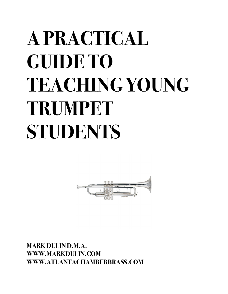# **A PRACTICAL GUIDE TO TEACHING YOUNG TRUMPET STUDENTS**



**MARK DULIN D.M.A. [WWW.MARKDULIN.COM](http://WWW.MARKDULIN.COM) WWW.ATLANTACHAMBERBRASS.COM**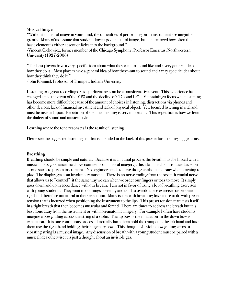## **Musical Image**

"Without a musical image in your mind, the difficulties of performing on an instrument are magnified greatly. Many of us assume that students have a good musical image, but I am amazed how often this basic element is either absent or fades into the background."

-Vincent Cichowicz, former member of the Chicago Symphony, Professor Emeritus, Northwestern University (1927-2006)

"The best players have a very specific idea about what they want to sound like and a very general idea of how they do it. Most players have a general idea of how they want to sound and a very specific idea about how they think they do it."

-John Rommel, Professor of Trumpet, Indiana University

Listening to a great recording or live performance can be a transformative event. This experience has changed since the dawn of the MP3 and the decline of CD's and LP's. Maintaining a focus while listening has become more difficult because of the amount of choices in listening, distractions via phones and other devices, lack of financial investment and lack of physical object. Yet, focused listening is vital and must be insisted upon. Repetition of specific listening is very important. This repetition is how we learn the dialect of sound and musical style.

Learning where the tone resonates is the result of listening.

Please see the suggested listening list that is included in the back of this packet for listening suggestions.

#### **Breathing**

Breathing should be simple and natural. Because it is a natural process the breath must be linked with a musical message (hence the above comments on musical imagery), this idea must be introduced as soon as one starts to play an instrument. No beginner needs to have thoughts about anatomy when learning to play. The diaphragm is an involuntary muscle. There is no nerve ending from the seventh cranial nerve that allows us to "control" it the same way we can when we order our fingers or toes to move. It simply goes down and up in accordance with our breath. I am not in favor of using a lot of breathing exercises with young students. They want to do things correctly and tend to overdo these exercises or become rigid and therefore unnatural in their execution. Many issues with breathing have more to do with preset tension that is incurred when positioning the instrument to the lips. This preset tension manifests itself in a tight breath that then becomes muscular and forced. There are times to address the breath but it is best done away from the instrument or with non-anatomic imagery. For example I often have students imagine a bow gliding across the string of a violin. The up bow is the inhalation in the down bow is exhalation. It is one continuous process. I actually have them hold the trumpet in the left hand and have them use the right hand holding their imaginary bow. This thought of a violin bow gliding across a vibrating string is a musical image. Any discussion of breath with a young student must be paired with a musical idea otherwise it is just a thought about an invisible gas.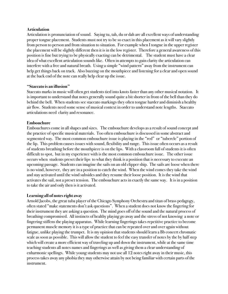#### **Articulation**

Articulation is pronunciation of sound. Saying tu, tah, du or dah are all excellent ways of understanding proper tongue placement. Students must not try to be so exact in this placement as it will vary slightly from person to person and from situation to situation. For example when I tongue in the upper register the placement will be slightly different then it is in the low register. Therefore a general awareness of this position is fine but trying to be physically exacting can be detrimental. The student must have a clear idea of what excellent articulation sounds like. Often in attempts to gain clarity the articulation can interfere with a free and natural breath. Using a simple "wind pattern" away from the instrument can help get things back on track. Also buzzing on the mouthpiece and listening for a clear and open sound at the back end of the note can really help clear up the issue.

## **"Staccato is an illusion"**

Staccato marks in music will often get students tied into knots faster than any other musical notation. It is important to understand that notes generally sound quite a bit shorter in front of the bell than they do behind the bell. When students see staccato markings they often tongue harder and diminish a healthy air flow. Students need some sense of musical context in order to understand note lengths. Staccato articulations need clarity and resonance.

## **Embouchure**

Embouchures come in all shapes and sizes. The embouchure develops as a result of sound concept and the practice of specific musical materials. Too often embouchure is discussed in some abstract and segmented way. The most common embouchure issue is playing in the "red" or "tubercle" portion of the lip. This problem causes issues with sound, flexibility and range. This issue often occurs as a result of students breathing before the mouthpiece is on the lips. With a classroom full of students it is often difficult to spot, but in my experience with is the most common embouchure issue. The other issue occurs when students preset their lips to what they think is a position that is necessary to execute an upcoming passage. Students can imagine the sails on an old clipper ship. The sails are loose when there is no wind, however, they are in a position to catch the wind. When the wind comes they take the wind and stay activated until the wind subsides and they resume their loose position. It is the wind that activates the sail, not a preset tension. The embouchure acts in exactly the same way. It is in a position to take the air and only then is it activated.

## **Learning all of notes right away**

Arnold Jacobs, the great tuba player of the Chicago Symphony Orchestra and titan of brass pedagogy, often stated "make statements don't ask questions". When a student does not know the fingering for their instrument they are asking a question. The mind goes off of the sound and the natural process of breathing compromised. All instincts of healthy playing go away and the stress of not knowing a note or fingering stiffens the playing apparatus. While learning fingerings takes repetitive practice to become permanent muscle memory it is a type of practice that can be repeated over and over again without fatigue, unlike playing the trumpet. It is my opinion that students should learn a Bb concert chromatic scale as soon as possible. This will allow the student to feel the easy transfer of notes by the by half step which will create a more efficient way of traveling up and down the instrument, while at the same time teaching students all notes names and fingerings as well as giving them a clear understanding of enharmonic spellings. While young students may not use all 12 notes right away in their music, this process takes away any phobia they may otherwise attain by not being familiar with certain parts of the instrument.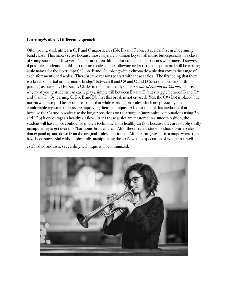## **Learning Scales-A Different Approach**

Often young students learn C, F and G major scales (Bb, Eb and F concert scales) first in a beginning band class. This makes sense because those keys are common keys in all music but especially in a class of young students. However, F and G are often difficult for students due to issues with range. I suggest if possible, students should start to learn scales in the following order (from this point on I will be writing scale names for the Bb trumpet) C, Bb, B and Db. Along with a chromatic scale that covers the range of each aforementioned scales. There are two reasons to start with these scales. The first being that there is a break of partial or "harmonic bridge" between B and  $C#$  and C and D (over the forth and fifth partials) as stated by Herbert L. Clarke in the fourth study of his *Technical Studies for Cornet*. This is why most young students can easily play a simple trill between Bb and C, but struggle between B and  $C#$ and C and D. By learning C, Bb, B and Db first this break is not crossed. Yes, the C# (Db) is played but not via whole step. The second reason is that while working on scales which are physically in a comfortable register students are improving their technique. A by-product of this method is that because the C# and B scales use the longer positions on the trumpet (more valve combinations using 23 and 123) it encourages a healthy air flow. After these scales are mastered in a smooth fashion, the student will have more confidence in their technique and a healthy air flow because they are not physically manipulating to get over this "harmonic bridge" area. After these scales, students should learn scales that expand up and down from the original scales mentioned. After learning scales in a range where they have been successful without physically manipulating the air flow, the expectation of evenness is well

established and issues regarding technique will be minimized.

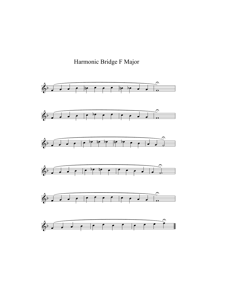

Harmonic Bridge F Major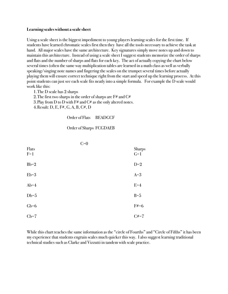#### **Learning scales without a scale sheet**

Using a scale sheet is the biggest impediment to young players learning scales for the first time. If students have learned chromatic scales first then they have all the tools necessary to achieve the task at hand. All major scales have the same architecture. Key signatures simply move notes up and down to maintain this architecture. Instead of using a scale sheet I suggest students memorize the order of sharps and flats and the number of sharps and flats for each key. The act of actually copying the chart below several times (often the same way multiplication tables are learned in a math class as well as verbally speaking/singing note names and fingering the scales on the trumpet several times before actually playing them will ensure correct technique right from the start and speed up the learning process. At this point students can just see each scale fits neatly into a simple formula. For example the D scale would work like this:

1.The D scale has 2 sharps

2. The first two sharps in the order of sharps are  $F#$  and  $C#$ 3. Play from D to D with  $F#$  and  $C#$  as the only altered notes.

4.Result: D, E, F#, G, A, B, C#, D

Order of Flats BEADGCF

#### Order of Sharps FCGDAEB

|                | $C=0$ |                        |
|----------------|-------|------------------------|
| Flats<br>$F=1$ |       | <b>Sharps</b><br>$G=1$ |
| $Bb=2$         |       | $D=2$                  |
| $Eb=3$         |       | $A=3$                  |
| $Ab=4$         |       | $E=4$                  |
| $Db=5$         |       | $B=5$                  |
| $Gb=6$         |       | $F#=6$                 |
| $Cb=7$         |       | $C# = 7$               |

While this chart teaches the same information as the "circle of Fourths" and "Circle of Fifths" it has been my experience that students engrain scales much quicker this way. I also suggest learning traditional technical studies such as Clarke and Vizzutti in tandem with scale practice.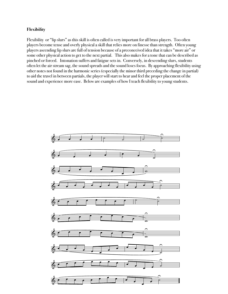# **Flexibility**

Flexibility or "lip slurs" as this skill is often called is very important for all brass players. Too often players become tense and overly physical a skill that relies more on finesse than strength. Often young players ascending lip slurs are full of tension because of a preconceived idea that it takes "more air" or some other physical action to get to the next partial. This also makes for a tone that can be described as pinched or forced. Intonation suffers and fatigue sets in. Conversely, in descending slurs, students often let the air stream sag, the sound spreads and the sound loses focus. By approaching flexibility using other notes not found in the harmonic series (especially the minor third preceding the change in partial) to aid the travel in between partials, the player will start to hear and feel the proper placement of the sound and experience more ease. Below are examples of how I teach flexibility to young students.

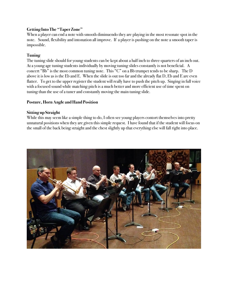# **Getting Into The "Taper Zone"**

When a player can end a note with smooth diminuendo they are playing in the most resonate spot in the note. Sound, flexibility and intonation all improve. If a player is pushing on the note a smooth taper is impossible.

# **Tuning**

The tuning slide should for young students can be kept about a half inch to three-quarters of an inch out. At a young age tuning students individually by moving tuning slides constantly is not beneficial. A concert "Bb" is the most common tuning note. This "C" on a Bb trumpet tends to be sharp. The D above it is low as is the Eb and E. When the slide is out too far and the already flat D, Eb and E are even flatter. To get to the upper register the student will really have to push the pitch up. Singing in full voice with a focused sound while matching pitch is a much better and more efficient use of time spent on tuning than the use of a tuner and constantly moving the main tuning slide.

## **Posture, Horn Angle and Hand Position**

## **Sitting up Straight**

While this may seem like a simple thing to do, I often see young players contort themselves into pretty unnatural positions when they are given this simple request. I have found that if the student will focus on the small of the back being straight and the chest slightly up that everything else will fall right into place.

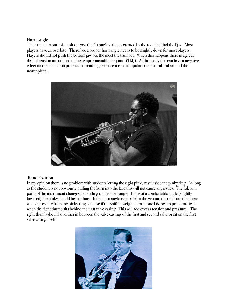## **Horn Angle**

The trumpet mouthpiece sits across the flat surface that is created by the teeth behind the lips. Most players have an overbite. Therefore a proper horn angle needs to be slightly down for most players. Players should not push the bottom jaw out the meet the trumpet. When this happens there is a great deal of tension introduced to the temporomandibular joints (TMJ). Additionally this can have a negative effect on the inhalation process in breathing because it can manipulate the natural seal around the mouthpiece.



#### **Hand Position**

In my opinion there is no problem with students letting the right pinky rest inside the pinky ring. As long as the student is not obviously pulling the horn into the face this will not cause any issues. The fulcrum point of the instrument changes depending on the horn angle. If it is at a comfortable angle (slightly lowered) the pinky should be just fine. If the horn angle is parallel to the ground the odds are that there will be pressure from the pinky ring because if the shift in weight. One issue I do see as problematic is when the right thumb sits behind the first valve casing. This will add excess tension and pressure. The right thumb should sit either in between the valve casings of the first and second valve or sit on the first valve casing itself.

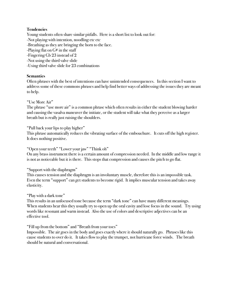# **Tendencies**

Young students often share similar pitfalls. Here is a short list to look out for:

- -Not playing with intention, noodling etc etc
- -Breathing as they are bringing the horn to the face.
- -Playing flat on  $G#$  in the staff
- -Fingering Gb 23 instead of 2
- -Not using the third valve slide
- -Using third valve slide for 23 combinations

# **Semantics**

Often phrases with the best of intentions can have unintended consequences. In this section I want to address some of these commons phrases and help find better ways of addressing the issues they are meant to help.

# "Use More Air"

The phrase "use more air" is a common phrase which often results in either the student blowing harder and causing the vasalva maneuver the initiate, or the student will take what they perceive as a larger breath but is really just raising the shoulders.

"Pull back your lips to play higher"

This phrase automatically reduces the vibrating surface of the embouchure. It cuts off the high register. It does nothing positive.

"Open your teeth" "Lower your jaw" "Think oh"

On any brass instrument there is a certain amount of compression needed. In the middle and low range it is not as noticeable but it is there. This stops that compression and causes the pitch to go flat.

"Support with the diaphragm"

This causes tension and the diaphragm is an involuntary muscle, therefore this is an impossible task. Even the term "support" can get students to become rigid. It implies muscular tension and takes away elasticity.

"Play with a dark tone"

This results in an unfocused tone because the term "dark tone" can have many different meanings. When students hear this they usually try to open up the oral cavity and lose focus in the sound. Try using words like resonant and warm instead. Also the use of colors and descriptive adjectives can be an effective tool.

"Fill up from the bottom" and "Breath from your toes"

Impossible. The air goes in the body and goes exactly where it should naturally go. Phrases like this cause students to over do it. It takes flow to play the trumpet, not hurricane force winds. The breath should be natural and conversational.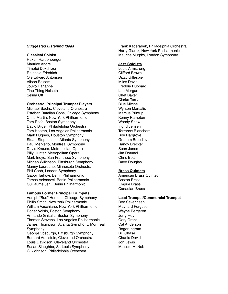#### *Suggested Listening Ideas*

#### **Classical Soloist**

Hakan Hardenberger Maurice Andre Timofei Dokshizer Reinhold Friedrich Ole Edvard Antonsen Alison Balsom Jouko Harjanne Tine Thing Helseth Selina Ott

#### **Orchestral Principal Trumpet Players**

Michael Sachs, Cleveland Orchestra Esteban Batallan Cons, Chicago Symphony Chris Martin, New York Philharmonic Tom Rolfs, Boston Symphony David Bilger, Philadelphia Orchestra Tom Hooten, Los Angeles Philharmonic Mark Hughes, Houston Symphony Stuart Stephenson, Atlanta Symphony Paul Merkerlo, Montreal Symphony David Krauss, Metropolitan Opera Billy Hunter, Metropolitan Opera Mark Inoye, San Francisco Symphony Michah Wilkinson, Pittsburgh Symphony Manny Laureano, Minnesota Orchestra Phil Cobb, London Symphony Gabor Tarkovi, Berlin Philharmonic Tamas Velenczei, Berlin Philharmonic Guillaume Jehl, Berlin Philharmonic

#### **Famous Former Principal Trumpets**

Adolph "Bud" Herseth, Chicago Symphony Philip Smith, New York Philharmonic William Vacchiano, New York Philharmonic Roger Voisin, Boston Symphony Armando Ghitalla, Boston Symphony Thomas Stevens, Los Angeles Philharmonic James Thompson, Atlanta Symphony, Montreal Symphony George Vosburgh, Pittsburgh Symphony Bernard Adelstein, Cleveland Orchestra Louis Davidson, Cleveland Orchestra Susan Slaughter, St. Louis Symphony Gil Johnson, Philadelphia Orchestra

Frank Kaderabek, Philadelphia Orchestra Harry Glantz, New York Philharmonic Maurice Murphy, London Symphony

#### **Jazz Soloists**

Louis Armstrong Clifford Brown Dizzy Gillespie Miles Davis Freddie Hubbard Lee Morgan Chet Baker Clarke Terry Blue Mitchell Wynton Marsalis Marcus Printup Kenny Rampton Woody Shaw Ingrid Jensen Terrance Blanchard Roy Hargrove Graham Breedlove Randy Brecker Sean Jones Jim Rotundi Chris Botti Dave Douglas

#### **Brass Quintets**

American Brass Quintet Boston Brass Empire Brass Canadian Brass

#### **Lead Trumpet/Commercial Trumpet**

Doc Severinsen Maynard Ferguson Wayne Bergeron Jerry Hey Gary Grant Cat Anderson Roger Ingram Bill Chase Charlie David Jon Lewis Malcom McNab